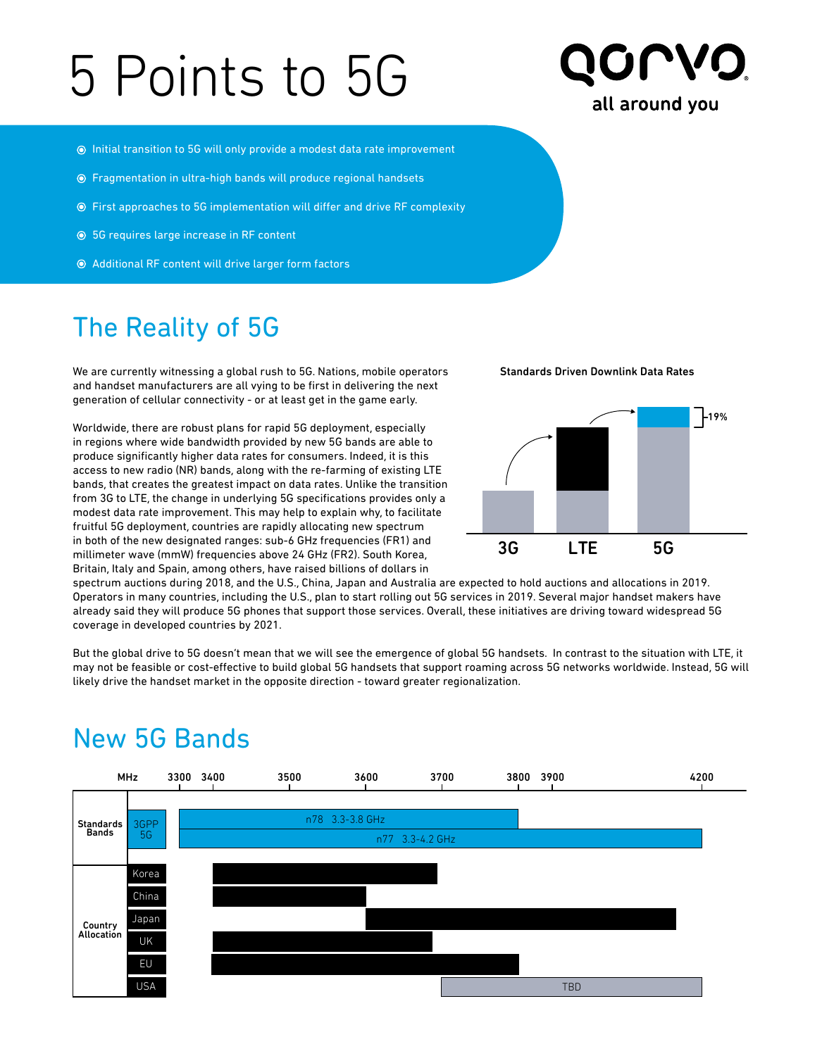# 5 Points to 5G



- $\odot$  Initial transition to 5G will only provide a modest data rate improvement
- Fragmentation in ultra-high bands will produce regional handsets
- First approaches to 5G implementation will differ and drive RF complexity
- 5G requires large increase in RF content
- Additional RF content will drive larger form factors

## The Reality of 5G

We are currently witnessing a global rush to 5G. Nations, mobile operators and handset manufacturers are all vying to be first in delivering the next generation of cellular connectivity - or at least get in the game early.

Worldwide, there are robust plans for rapid 5G deployment, especially in regions where wide bandwidth provided by new 5G bands are able to produce significantly higher data rates for consumers. Indeed, it is this access to new radio (NR) bands, along with the re-farming of existing LTE bands, that creates the greatest impact on data rates. Unlike the transition from 3G to LTE, the change in underlying 5G specifications provides only a modest data rate improvement. This may help to explain why, to facilitate fruitful 5G deployment, countries are rapidly allocating new spectrum in both of the new designated ranges: sub-6 GHz frequencies (FR1) and millimeter wave (mmW) frequencies above 24 GHz (FR2). South Korea, Britain, Italy and Spain, among others, have raised billions of dollars in

Standards Driven Downlink Data Rates



spectrum auctions during 2018, and the U.S., China, Japan and Australia are expected to hold auctions and allocations in 2019. Operators in many countries, including the U.S., plan to start rolling out 5G services in 2019. Several major handset makers have already said they will produce 5G phones that support those services. Overall, these initiatives are driving toward widespread 5G coverage in developed countries by 2021.

But the global drive to 5G doesn't mean that we will see the emergence of global 5G handsets. In contrast to the situation with LTE, it may not be feasible or cost-effective to build global 5G handsets that support roaming across 5G networks worldwide. Instead, 5G will likely drive the handset market in the opposite direction - toward greater regionalization.



## New 5G Bands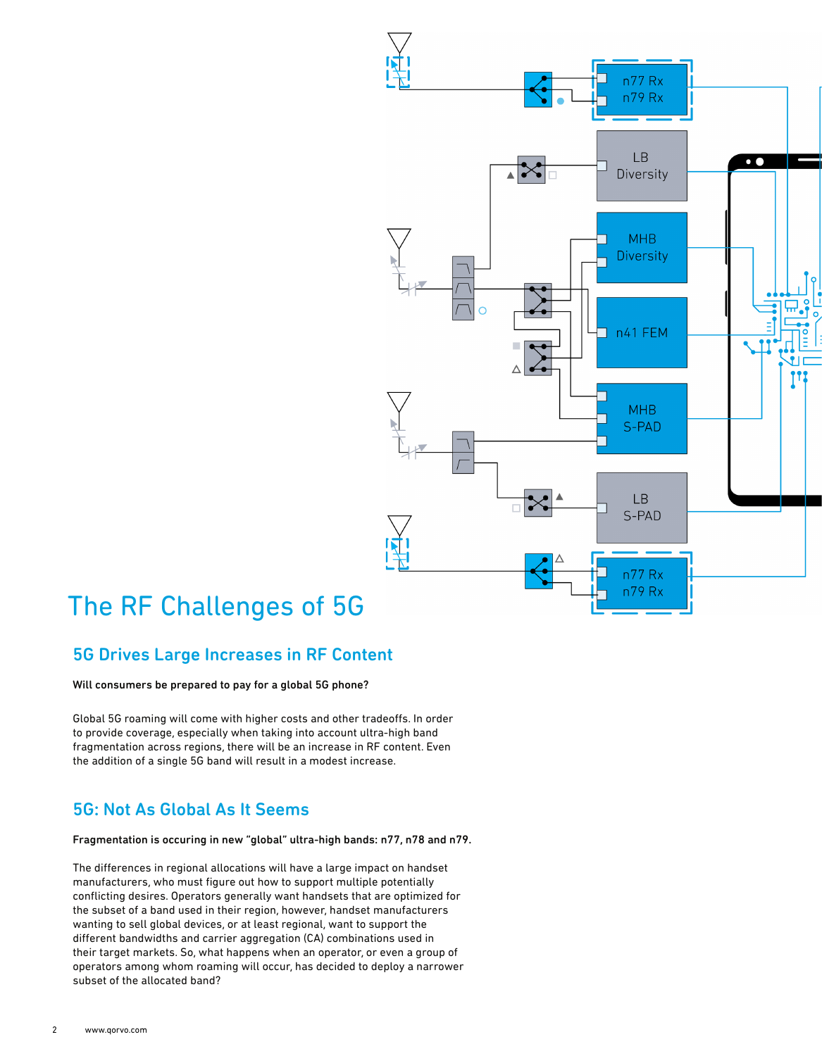

## The RF Challenges of 5G

### 5G Drives Large Increases in RF Content

Will consumers be prepared to pay for a global 5G phone?

Global 5G roaming will come with higher costs and other tradeoffs. In order to provide coverage, especially when taking into account ultra-high band fragmentation across regions, there will be an increase in RF content. Even the addition of a single 5G band will result in a modest increase.

### 5G: Not As Global As It Seems

Fragmentation is occuring in new "global" ultra-high bands: n77, n78 and n79.

The differences in regional allocations will have a large impact on handset manufacturers, who must figure out how to support multiple potentially conflicting desires. Operators generally want handsets that are optimized for the subset of a band used in their region, however, handset manufacturers wanting to sell global devices, or at least regional, want to support the different bandwidths and carrier aggregation (CA) combinations used in their target markets. So, what happens when an operator, or even a group of operators among whom roaming will occur, has decided to deploy a narrower subset of the allocated band?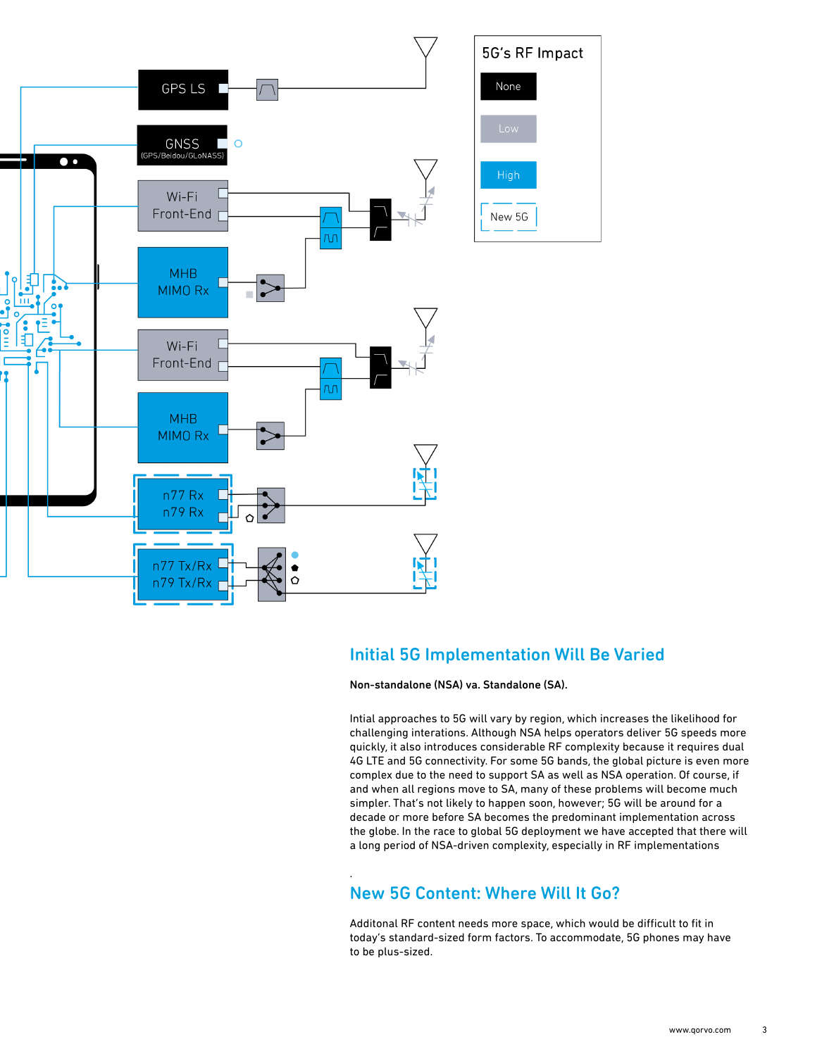

### Initial 5G Implementation Will Be Varied

Non-standalone (NSA) va. Standalone (SA).

Intial approaches to 5G will vary by region, which increases the likelihood for challenging interations. Although NSA helps operators deliver 5G speeds more quickly, it also introduces considerable RF complexity because it requires dual 4G LTE and 5G connectivity. For some 5G bands, the global picture is even more complex due to the need to support SA as well as NSA operation. Of course, if and when all regions move to SA, many of these problems will become much simpler. That's not likely to happen soon, however; 5G will be around for a decade or more before SA becomes the predominant implementation across the globe. In the race to global 5G deployment we have accepted that there will a long period of NSA-driven complexity, especially in RF implementations

### New 5G Content: Where Will It Go?

.

Additonal RF content needs more space, which would be difficult to fit in today's standard-sized form factors. To accommodate, 5G phones may have to be plus-sized.